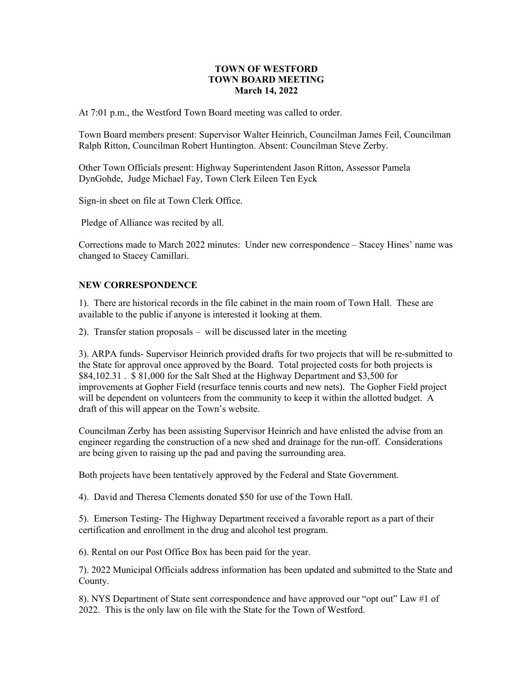## **TOWN OF WESTFORD TOWN BOARD MEETING March 14, 2022**

At 7:01 p.m., the Westford Town Board meeting was called to order.

Town Board members present: Supervisor Walter Heinrich, Councilman James Feil, Councilman Ralph Ritton, Councilman Robert Huntington. Absent: Councilman Steve Zerby.

Other Town Officials present: Highway Superintendent Jason Ritton, Assessor Pamela DynGohde, Judge Michael Fay, Town Clerk Eileen Ten Eyck

Sign-in sheet on file at Town Clerk Office.

Pledge of Alliance was recited by all.

Corrections made to March 2022 minutes: Under new correspondence – Stacey Hines' name was changed to Stacey Camillari.

#### **NEW CORRESPONDENCE**

1). There are historical records in the file cabinet in the main room of Town Hall. These are available to the public if anyone is interested it looking at them.

2). Transfer station proposals – will be discussed later in the meeting

3). ARPA funds- Supervisor Heinrich provided drafts for two projects that will be re-submitted to the State for approval once approved by the Board. Total projected costs for both projects is \$84,102.31 . \$ 81,000 for the Salt Shed at the Highway Department and \$3,500 for improvements at Gopher Field (resurface tennis courts and new nets). The Gopher Field project will be dependent on volunteers from the community to keep it within the allotted budget. A draft of this will appear on the Town's website.

Councilman Zerby has been assisting Supervisor Heinrich and have enlisted the advise from an engineer regarding the construction of a new shed and drainage for the run-off. Considerations are being given to raising up the pad and paving the surrounding area.

Both projects have been tentatively approved by the Federal and State Government.

4). David and Theresa Clements donated \$50 for use of the Town Hall.

5). Emerson Testing- The Highway Department received a favorable report as a part of their certification and enrollment in the drug and alcohol test program.

6). Rental on our Post Office Box has been paid for the year.

7). 2022 Municipal Officials address information has been updated and submitted to the State and County.

8). NYS Department of State sent correspondence and have approved our "opt out" Law #1 of 2022. This is the only law on file with the State for the Town of Westford.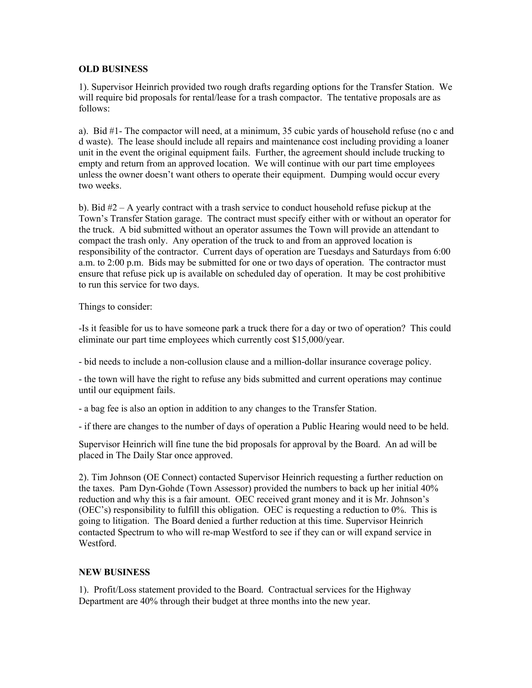# **OLD BUSINESS**

1). Supervisor Heinrich provided two rough drafts regarding options for the Transfer Station. We will require bid proposals for rental/lease for a trash compactor. The tentative proposals are as follows:

a). Bid #1- The compactor will need, at a minimum, 35 cubic yards of household refuse (no c and d waste). The lease should include all repairs and maintenance cost including providing a loaner unit in the event the original equipment fails. Further, the agreement should include trucking to empty and return from an approved location. We will continue with our part time employees unless the owner doesn't want others to operate their equipment. Dumping would occur every two weeks.

b). Bid #2 – A yearly contract with a trash service to conduct household refuse pickup at the Town's Transfer Station garage. The contract must specify either with or without an operator for the truck. A bid submitted without an operator assumes the Town will provide an attendant to compact the trash only. Any operation of the truck to and from an approved location is responsibility of the contractor. Current days of operation are Tuesdays and Saturdays from 6:00 a.m. to 2:00 p.m. Bids may be submitted for one or two days of operation. The contractor must ensure that refuse pick up is available on scheduled day of operation. It may be cost prohibitive to run this service for two days.

Things to consider:

-Is it feasible for us to have someone park a truck there for a day or two of operation? This could eliminate our part time employees which currently cost \$15,000/year.

- bid needs to include a non-collusion clause and a million-dollar insurance coverage policy.

- the town will have the right to refuse any bids submitted and current operations may continue until our equipment fails.

- a bag fee is also an option in addition to any changes to the Transfer Station.

- if there are changes to the number of days of operation a Public Hearing would need to be held.

Supervisor Heinrich will fine tune the bid proposals for approval by the Board. An ad will be placed in The Daily Star once approved.

2). Tim Johnson (OE Connect) contacted Supervisor Heinrich requesting a further reduction on the taxes. Pam Dyn-Gohde (Town Assessor) provided the numbers to back up her initial 40% reduction and why this is a fair amount. OEC received grant money and it is Mr. Johnson's (OEC's) responsibility to fulfill this obligation. OEC is requesting a reduction to 0%. This is going to litigation. The Board denied a further reduction at this time. Supervisor Heinrich contacted Spectrum to who will re-map Westford to see if they can or will expand service in Westford.

## **NEW BUSINESS**

1). Profit/Loss statement provided to the Board. Contractual services for the Highway Department are 40% through their budget at three months into the new year.